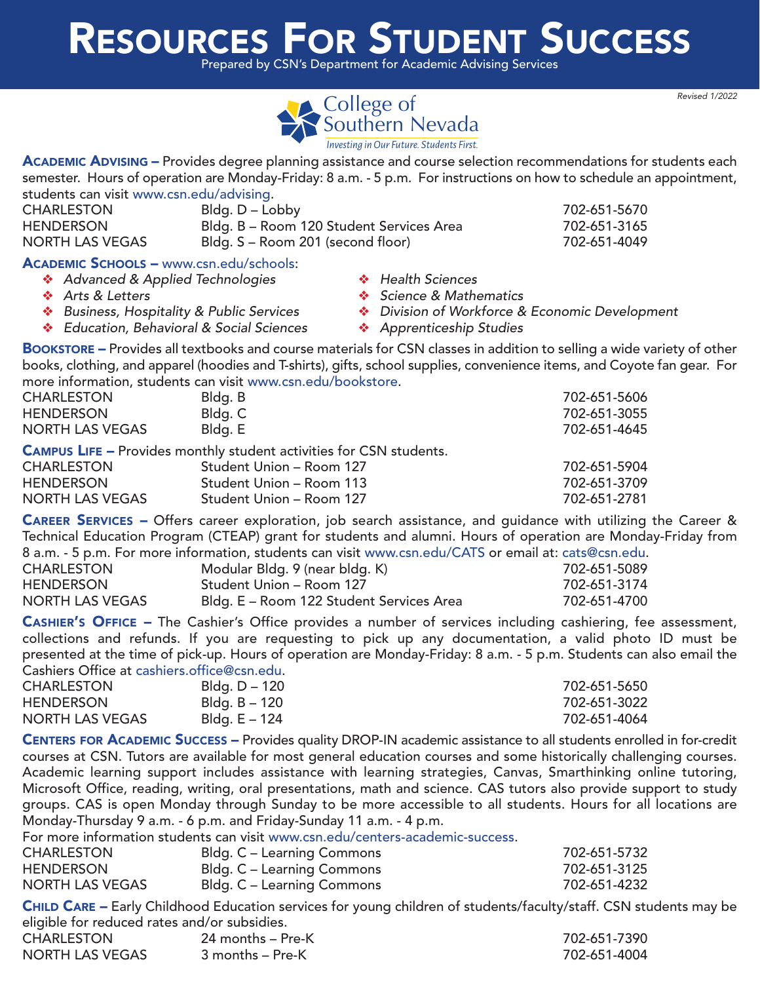## [RESOURCES FOR STUDENT SUCCESS](http://www.csn.edu/bookstore)

Prepared by CSN's Department for Academic Advising Services



ACADEMIC ADVISING - Provides degree planning assistance and course selection recommendations for students each semester. Hours of operation are Monday-Friday: 8 a.m. - 5 p.m. For instructions on how to schedule an appointment, students can visit [www.csn.edu/advising.](http://www.csn.edu/advising)

| <b>CHARLESTON</b>                              | Bldg. D – Lobby                          |  |                   |  | 702-651-5670 |
|------------------------------------------------|------------------------------------------|--|-------------------|--|--------------|
| <b>HENDERSON</b>                               | Bldg. B - Room 120 Student Services Area |  |                   |  | 702-651-3165 |
| <b>NORTH LAS VEGAS</b>                         | Bldg. S – Room 201 (second floor)        |  |                   |  | 702-651-4049 |
| <b>ACADEMIC SCHOOLS - www.csn.edu/schools:</b> |                                          |  |                   |  |              |
| Advanced & Applied Technologies                |                                          |  | ❖ Health Sciences |  |              |
|                                                |                                          |  |                   |  |              |

- 
- 
- ◆ Education, Behavioral & Social Sciences → ◆ Apprenticeship Studies
- $\clubsuit$  Arts & Letters v  $\clubsuit$  Science & Mathematics
- \* Business, Hospitality & Public Services Vivision of Workforce & Economic Development
	-

BOOKSTORE – Provides all textbooks and course materials for CSN classes in addition to selling a wide variety of other books, clothing, and apparel (hoodies and T-shirts), gifts, school supplies, convenience items, and Coyote fan gear. For more information, students can visit [www.csn.edu/bookstore.](http://www.csn.edu/bookstore)

| <b>CHARLESTON</b>      | Bldg. B                                                                    | 702-651-5606 |
|------------------------|----------------------------------------------------------------------------|--------------|
| <b>HENDERSON</b>       | Bldg. C                                                                    | 702-651-3055 |
| <b>NORTH LAS VEGAS</b> | Bldg. E                                                                    | 702-651-4645 |
|                        | <b>CAMPUS LIFE - Provides monthly student activities for CSN students.</b> |              |
| <b>CHARLESTON</b>      | Student Union - Room 127                                                   | 702-651-5904 |

| <b>CHARLESTON</b>      | Student Union – Room 127 | 702-651-5904 |
|------------------------|--------------------------|--------------|
| <b>HENDERSON</b>       | Student Union – Room 113 | 702-651-3709 |
| <b>NORTH LAS VEGAS</b> | Student Union – Room 127 | 702-651-2781 |

CAREER SERVICES – Offers career exploration, job search assistance, and guidance with utilizing the Career & Technical Education Program (CTEAP) grant for students and alumni. Hours of operation are Monday-Friday from 8 a.m. - 5 p.m. For more information, students can visit [www.csn.edu/CATS](http://www.csn.edu/CATS) or email at: cats@csn.edu.

|                        | 0 a.m. -0 p.m. -1 or more implimation, staddills can visit www.csm.caa/ O/ 113 Or childii at. cats@csm.caa. |              |
|------------------------|-------------------------------------------------------------------------------------------------------------|--------------|
| <b>CHARLESTON</b>      | Modular Bldg. 9 (near bldg. K)                                                                              | 702-651-5089 |
| HENDERSON              | Student Union – Room 127                                                                                    | 702-651-3174 |
| <b>NORTH LAS VEGAS</b> | Bldg. E - Room 122 Student Services Area                                                                    | 702-651-4700 |
|                        |                                                                                                             |              |

CASHIER'S OFFICE – The Cashier's Office provides a number of services including cashiering, fee assessment, collections and refunds. If you are requesting to pick up any documentation, a valid photo ID must be presented at the time of pick-up. Hours of operation are Monday-Friday: 8 a.m. - 5 p.m. Students can also email the Cashiers Office at cashiers.office@csn.edu.

| <b>CHARLESTON</b>      | Bldg. D – 120 | 702-651-5650 |
|------------------------|---------------|--------------|
| <b>HENDERSON</b>       | Bldg. B – 120 | 702-651-3022 |
| <b>NORTH LAS VEGAS</b> | Bldg. E – 124 | 702-651-4064 |

CENTERS FOR ACADEMIC SUCCESS – Provides quality DROP-IN academic assistance to all students enrolled in for-credit courses at CSN. Tutors are available for most general education courses and some historically challenging courses. Academic learning support includes assistance with learning strategies, Canvas, Smarthinking online tutoring, Microsoft Office, reading, writing, oral presentations, math and science. CAS tutors also provide support to study groups. CAS is open Monday through Sunday to be more accessible to all students. Hours for all locations are Monday-Thursday 9 a.m. - 6 p.m. and Friday-Sunday 11 a.m. - 4 p.m.

For more information students can visit [www.csn.edu/centers-academic-success.](http://www.csn.edu/centers-academic-success)

| <b>CHARLESTON</b>      | Bldg. C – Learning Commons | 702-651-5732 |
|------------------------|----------------------------|--------------|
| <b>HENDERSON</b>       | Bldg. C – Learning Commons | 702-651-3125 |
| <b>NORTH LAS VEGAS</b> | Bldg. C – Learning Commons | 702-651-4232 |

CHILD CARE - Early Childhood Education services for young children of students/faculty/staff. CSN students may be eligible for reduced rates and/or subsidies.

| <b>CHARLESTON</b>      | 24 months – Pre-K | 702-651-7390 |
|------------------------|-------------------|--------------|
| <b>NORTH LAS VEGAS</b> | 3 months – Pre-K  | 702-651-4004 |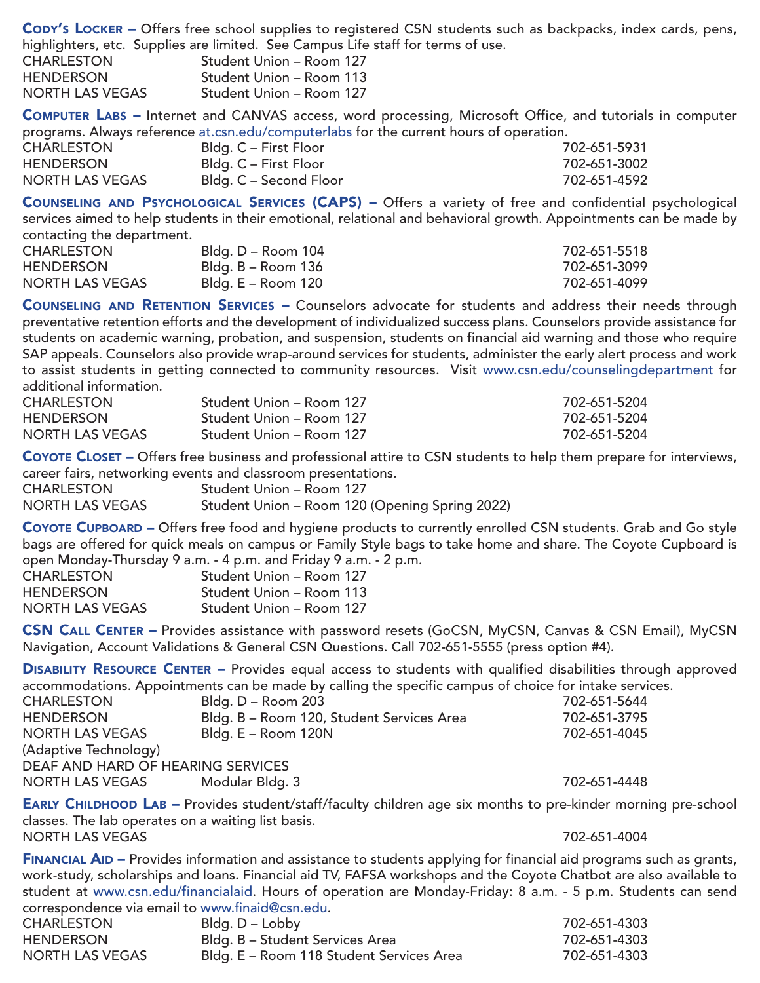CODY'S LOCKER – Offers free school supplies to registered CSN students such as backpacks, index cards, pens, highlighters, etc. Supplies are limited. See Campus Life staff for terms of use.

|                        | inginighters, etc. supplies are immedir see campus Ener |
|------------------------|---------------------------------------------------------|
| <b>CHARLESTON</b>      | Student Union - Room 127                                |
| <b>HENDERSON</b>       | Student Union - Room 113                                |
| <b>NORTH LAS VEGAS</b> | Student Union - Room 127                                |

COMPUTER LABS – Internet and CANVAS access, word processing, Microsoft Office, and tutorials in computer programs. Always reference [at.csn.edu/computerlabs](http://at.csn.edu/computerlabs) for the current hours of operation.

| . .<br><b>CHARLESTON</b> | Bldg. C – First Floor  | 702-651-5931 |
|--------------------------|------------------------|--------------|
| <b>HENDERSON</b>         | Bldg. C – First Floor  | 702-651-3002 |
| NORTH LAS VEGAS          | Bldg. C – Second Floor | 702-651-4592 |

COUNSELING AND PSYCHOLOGICAL SERVICES (CAPS) - Offers a variety of free and confidential psychological services aimed to help students in their emotional, relational and behavioral growth. Appointments can be made by contacting the department.

| <b>CHARLESTON</b> | Bldg. D – Room 104 | 702-651-5518 |
|-------------------|--------------------|--------------|
| <b>HENDERSON</b>  | Bldg. B – Room 136 | 702-651-3099 |
| NORTH LAS VEGAS   | Bldg. E – Room 120 | 702-651-4099 |

COUNSELING AND RETENTION SERVICES – Counselors advocate for students and address their needs through preventative retention efforts and the development of individualized success plans. Counselors provide assistance for students on academic warning, probation, and suspension, students on financial aid warning and those who require SAP appeals. Counselors also provide wrap-around services for students, administer the early alert process and work to assist students in getting connected to community resources. Visit [www.csn.edu/counselingdepartment](http://www.csn.edu/counselingdepartment) for additional information.

| <b>CHARLESTON</b>      | Student Union – Room 127 | 702-651-5204 |
|------------------------|--------------------------|--------------|
| <b>HENDERSON</b>       | Student Union – Room 127 | 702-651-5204 |
| <b>NORTH LAS VEGAS</b> | Student Union – Room 127 | 702-651-5204 |

COYOTE CLOSET – Offers free business and professional attire to CSN students to help them prepare for interviews, career fairs, networking events and classroom presentations.

| <b>CHARLESTON</b>      | Student Union – Room 127                       |
|------------------------|------------------------------------------------|
| <b>NORTH LAS VEGAS</b> | Student Union - Room 120 (Opening Spring 2022) |

COYOTE CUPBOARD – Offers free food and hygiene products to currently enrolled CSN students. Grab and Go style bags are offered for quick meals on campus or Family Style bags to take home and share. The Coyote Cupboard is open Monday-Thursday 9 a.m. - 4 p.m. and Friday 9 a.m. - 2 p.m.

|                        | <u>alan internasional internasional international distribution in the control international international international international international international international international international international intern</u> |
|------------------------|--------------------------------------------------------------------------------------------------------------------------------------------------------------------------------------------------------------------------------------|
| <b>CHARLESTON</b>      | Student Union – Room 127                                                                                                                                                                                                             |
| <b>HENDERSON</b>       | Student Union – Room 113                                                                                                                                                                                                             |
| <b>NORTH LAS VEGAS</b> | Student Union - Room 127                                                                                                                                                                                                             |

CSN CALL CENTER – Provides assistance with password resets (GoCSN, MyCSN, Canvas & CSN Email), MyCSN Navigation, Account Validations & General CSN Questions. Call 702-651-5555 (press option #4).

DISABILITY RESOURCE CENTER - Provides equal access to students with qualified disabilities through approved accommodations. Appointments can be made by calling the specific campus of choice for intake services.

| <b>CHARLESTON</b>                 | Bldg. D - Room 203                        | 702-651-5644 |
|-----------------------------------|-------------------------------------------|--------------|
| <b>HENDERSON</b>                  | Bldg. B - Room 120, Student Services Area | 702-651-3795 |
| <b>NORTH LAS VEGAS</b>            | Bldg. E - Room 120N                       | 702-651-4045 |
| (Adaptive Technology)             |                                           |              |
| DEAF AND HARD OF HEARING SERVICES |                                           |              |
| <b>NORTH LAS VEGAS</b>            | Modular Bldg. 3                           | 702-651-4448 |

EARLY CHILDHOOD LAB – Provides student/staff/faculty children age six months to pre-kinder morning pre-school classes. The lab operates on a waiting list basis. NORTH LAS VEGAS 702-651-4004

FINANCIAL AID - Provides information and assistance to students applying for financial aid programs such as grants, work-study, scholarships and loans. Financial aid TV, FAFSA workshops and the Coyote Chatbot are also available to student at [www.csn.edu/financialaid.](http://www.csn.edu/financialaid) Hours of operation are Monday-Friday: 8 a.m. - 5 p.m. Students can send correspondence via email to [www.finaid@csn.edu.](www.finaid@csn.edu)

| <b>CHARLESTON</b>      | Bldg. D – Lobby                          | 702-651-4303 |
|------------------------|------------------------------------------|--------------|
| <b>HENDERSON</b>       | Bldg. B - Student Services Area          | 702-651-4303 |
| <b>NORTH LAS VEGAS</b> | Bldg. E - Room 118 Student Services Area | 702-651-4303 |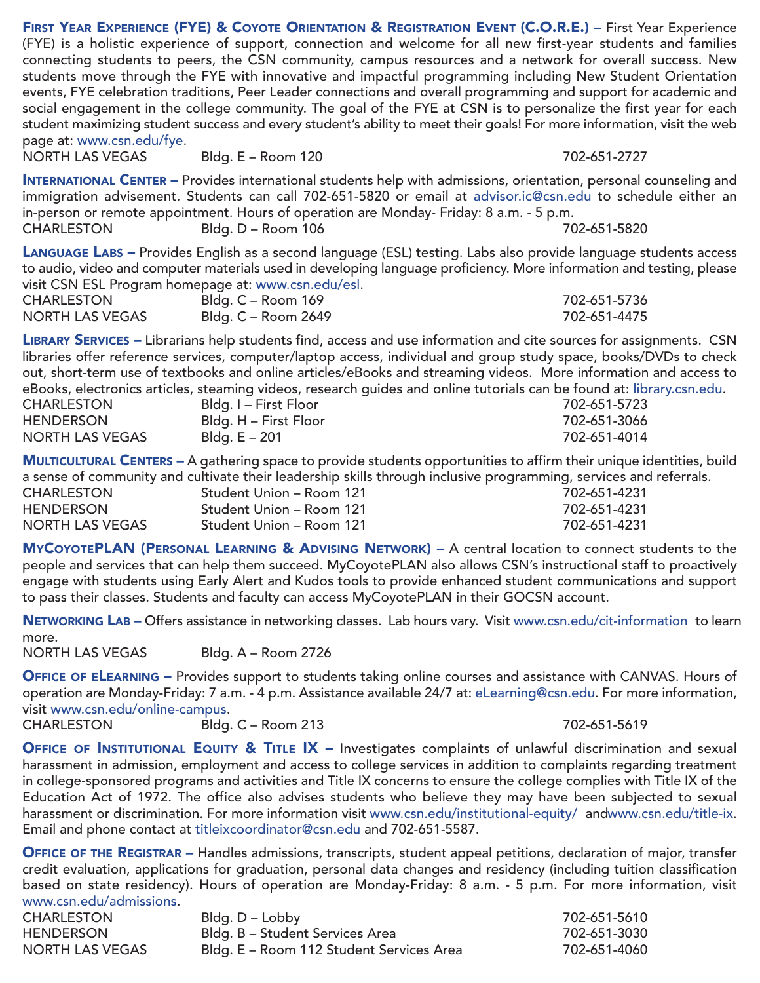FIRST YEAR EXPERIENCE (FYE) & COYOTE ORIENTATION & REGISTRATION EVENT (C.O.R.E.) – First Year Experience (FYE) is a holistic experience of support, connection and welcome for all new first-year students and families connecting students to peers, the CSN community, campus resources and a network for overall success. New students move through the FYE with innovative and impactful programming including New Student Orientation events, FYE celebration traditions, Peer Leader connections and overall programming and support for academic and social engagement in the college community. The goal of the FYE at CSN is to personalize the first year for each student maximizing student success and every student's ability to meet their goals! For more information, visit the web page at: [www.csn.edu/fye.](http://www.csn.edu/fye)<br>NORTH LAS VEGAS Rldg. E – Room 120 702-651-2727

INTERNATIONAL CENTER – Provides international students help with admissions, orientation, personal counseling and immigration advisement. Students can call 702-651-5820 or email at advisor.ic@csn.edu to schedule either an in-person or remote appointment. Hours of operation are Monday- Friday: 8 a.m. - 5 p.m. CHARLESTON Bldg. D – Room 106 702-651-5820

LANGUAGE LABS – Provides English as a second language (ESL) testing. Labs also provide language students access to audio, video and computer materials used in developing language proficiency. More information and testing, please visit CSN ESL Program homepage at: [www.csn.edu/esl.](http://www.csn.edu/esl) 702-651-5736

| <b>CHARLESTON</b> | Bldg. C – Room 169  | 702-651-5736 |
|-------------------|---------------------|--------------|
| NORTH LAS VEGAS   | Bldg. C – Room 2649 | 702-651-4475 |

LIBRARY SERVICES – Librarians help students find, access and use information and cite sources for assignments. CSN libraries offer reference services, computer/laptop access, individual and group study space, books/DVDs to check out, short-term use of textbooks and online articles/eBooks and streaming videos. More information and access to eBooks, electronics articles, steaming videos, research guides and online tutorials can be found at: [library.csn.edu.](http://library.csn.edu)

| <b>CHARLESTON</b>      | Bldg. I – First Floor | 702-651-5723 |
|------------------------|-----------------------|--------------|
| <b>HENDERSON</b>       | Bldg. H - First Floor | 702-651-3066 |
| <b>NORTH LAS VEGAS</b> | Bldg. E – 201         | 702-651-4014 |

MULTICULTURAL CENTERS – A gathering space to provide students opportunities to affirm their unique identities, build a sense of community and cultivate their leadership skills through inclusive programming, services and referrals.

| CHARLESTON      | Student Union – Room 121 | 702-651-4231 |
|-----------------|--------------------------|--------------|
| HENDERSON       | Student Union – Room 121 | 702-651-4231 |
| NORTH LAS VEGAS | Student Union – Room 121 | 702-651-4231 |

MYCOYOTEPLAN (PERSONAL LEARNING & ADVISING NETWORK) – A central location to connect students to the people and services that can help them succeed. MyCoyotePLAN also allows CSN's instructional staff to proactively engage with students using Early Alert and Kudos tools to provide enhanced student communications and support to pass their classes. Students and faculty can access MyCoyotePLAN in their GOCSN account.

NETWORKING LAB - Offers assistance in networking classes. Lab hours vary. Visit [www.csn.edu/cit-information](http://www.csn.edu/cit-information) to learn more.

NORTH LAS VEGAS Bldg. A – Room 2726

OFFICE OF ELEARNING - Provides support to students taking online courses and assistance with CANVAS. Hours of operation are Monday-Friday: 7 a.m. - 4 p.m. Assistance available 24/7 at: eLearning@csn.edu. For more information, visit [www.csn.edu/online-campus.](http://www.csn.edu/online-campus)

CHARLESTON Bldg. C – Room 213 702-651-5619

OFFICE OF INSTITUTIONAL EQUITY & TITLE IX - Investigates complaints of unlawful discrimination and sexual harassment in admission, employment and access to college services in addition to complaints regarding treatment in college-sponsored programs and activities and Title IX concerns to ensure the college complies with Title IX of the [Education Act of 1972. The office also advises students who believe they may have been subjected to sexual](http://www.csn.edu/title-ix)  harassment or discrimination. For more information visit [www.csn.edu/institutional-equity/](http://www.csn.edu/institutional-equity) an[dwww.csn.edu/title-ix.](http://www.csn.edu/title-ix) Email and phone contact at titleixcoordinator@csn.edu and 702-651-5587.

OFFICE OF THE REGISTRAR – Handles admissions, transcripts, student appeal petitions, declaration of major, transfer credit evaluation, applications for graduation, personal data changes and residency (including tuition classification based on state residency). Hours of operation are Monday-Friday: 8 a.m. - 5 p.m. For more information, visit [www.csn.edu/admissions.](http://www.csn.edu/admissions)

| <b>CHARLESTON</b> | Bldg. D – Lobby                          | 702-651-5610 |
|-------------------|------------------------------------------|--------------|
| <b>HENDERSON</b>  | Bldg. B – Student Services Area          | 702-651-3030 |
| NORTH LAS VEGAS   | Bldg. E - Room 112 Student Services Area | 702-651-4060 |